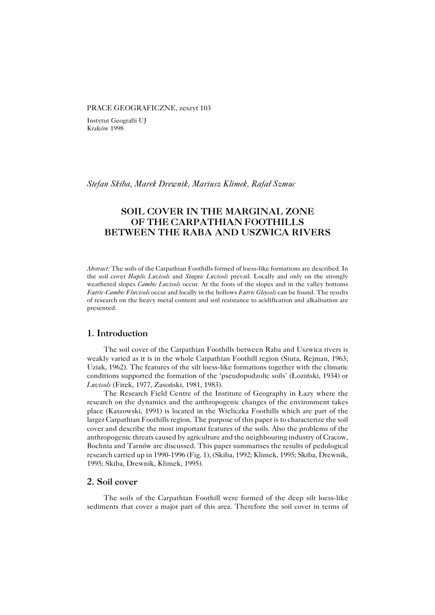#### PRACE GEOGRAFICZNE, zeszyt 103

Instytut Geografii UJ Kraków 1998

*Stefan Skiba, Marek Drewnik, Mariusz Klimek, Rafał Szmuc*

# **SOIL COVER IN THE MARGINAL ZONE OF THE CARPATHIAN FOOTHILLS BETWEEN THE RABA AND USZWICA RIVERS**

*Abstract:* The soils of the Carpathian Foothills formed of loess−like formations are described. In the soil cover *Haplic Luvisols* and *Stagnic Luvisols* prevail. Locally and only on the strongly weathered slopes *Cambic Luvisols* occur. At the foots of the slopes and in the valley bottoms *Eutric−Cambic Fluvisols* occur and locally in the hollows *Eutric Gleysols* can be found. The results of research on the heavy metal content and soil resistance to acidification and alkalisation are presented.

## **1. Introduction**

The soil cover of the Carpathian Foothills between Raba and Uszwica rivers is weakly varied as it is in the whole Carpathian Foothill region (Siuta, Rejman, 1963; Uziak, 1962). The features of the silt loess−like formations together with the climatic conditions supported the formation of the 'pseudopodzolic soils' (Łoziński, 1934) or *Luvisols* (Firek, 1977, Zasoński, 1981, 1983).

The Research Field Centre of the Institute of Geography in Łazy where the research on the dynamics and the anthropogenic changes of the environment takes place (Kaszowski, 1991) is located in the Wieliczka Foothills which are part of the larger Carpathian Foothills region. The purpose of this paper is to characterize the soil cover and describe the most important features of the soils. Also the problems of the anthropogenic threats caused by agriculture and the neighbouring industry of Cracow, Bochnia and Tarnów are discussed. This paper summarises the results of pedological research carried up in 1990−1996 (Fig. 1), (Skiba, 1992; Klimek, 1995; Skiba, Drewnik, 1995; Skiba, Drewnik, Klimek, 1995).

#### **2. Soil cover**

The soils of the Carpathian Foothill were formed of the deep silt loess−like sediments that cover a major part of this area. Therefore the soil cover in terms of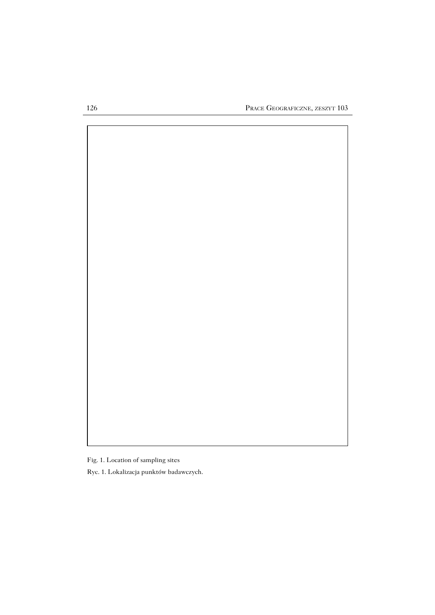

Fig. 1. Location of sampling sites

Ryc. 1. Lokalizacja punktów badawczych.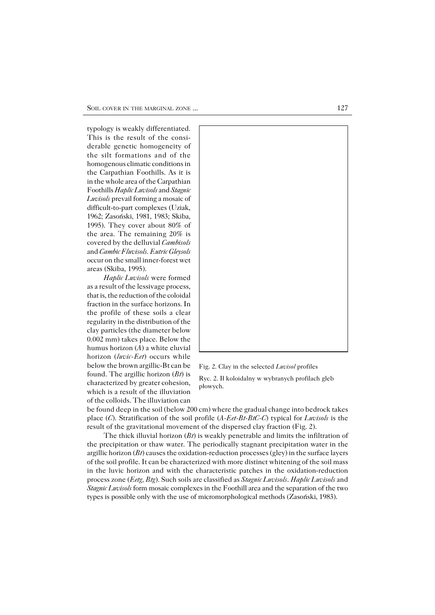typology is weakly differentiated. This is the result of the consi− derable genetic homogeneity of the silt formations and of the homogenous climatic conditions in the Carpathian Foothills. As it is in the whole area of the Carpathian Foothills *Haplic Luvisols* and *Stagnic Luvisols* prevail forming a mosaic of difficult−to−part complexes (Uziak, 1962; Zasoński, 1981, 1983; Skiba, 1995). They cover about 80% of the area. The remaining 20% is covered by the delluvial *Cambisols* and *Cambic Fluvisols. Eutric Gleysols* occur on the small inner−forest wet areas (Skiba, 1995).

*Haplic Luvisols* were formed as a result of the lessivage process, that is, the reduction of the coloidal fraction in the surface horizons. In the profile of these soils a clear regularity in the distribution of the clay particles (the diameter below 0.002 mm) takes place. Below the humus horizon (*A*) a white eluvial horizon (*luvic−Eet*) occurs while below the brown argillic−Bt can be found. The argillic horizon (*Bt*) is characterized by greater cohesion, which is a result of the illuviation of the colloids. The illuviation can



Fig. 2. Clay in the selected *Luvisol* profiles

Ryc. 2. Ił koloidalny w wybranych profilach gleb płowych.

be found deep in the soil (below 200 cm) where the gradual change into bedrock takes place (*C*). Stratification of the soil profile (*A−Eet−Bt−BtC−C*) typical for *Luvisols* is the result of the gravitational movement of the dispersed clay fraction (Fig. 2).

The thick illuvial horizon (*Bt*) is weakly penetrable and limits the infiltration of the precipitation or thaw water. The periodically stagnant precipitation water in the argillic horizon (*Bt*) causes the oxidation−reduction processes (gley) in the surface layers of the soil profile. It can be characterized with more distinct whitening of the soil mass in the luvic horizon and with the characteristic patches in the oxidation−reduction process zone (*Eetg, Btg*). Such soils are classified as *Stagnic Luvisols*. *Haplic Luvisols* and *Stagnic Luvisols* form mosaic complexes in the Foothill area and the separation of the two types is possible only with the use of micromorphological methods (Zasoński, 1983).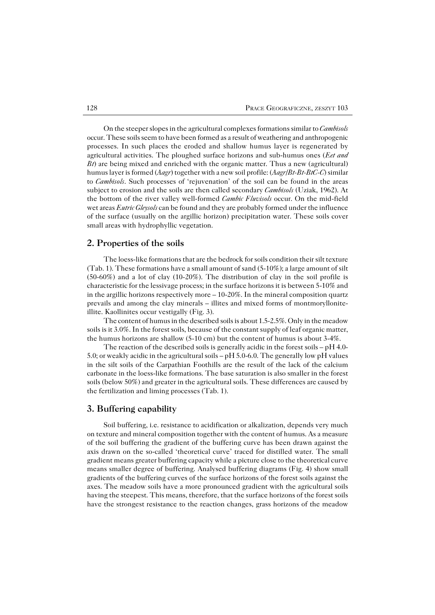On the steeper slopes in the agricultural complexes formations similar to *Cambisols* occur. These soils seem to have been formed as a result of weathering and anthropogenic processes. In such places the eroded and shallow humus layer is regenerated by agricultural activities. The ploughed surface horizons and sub−humus ones (*Eet and Bt*) are being mixed and enriched with the organic matter. Thus a new (agricultural) humus layer is formed (*Aagr*) together with a new soil profile: (*Aagr/Bt−Bt−BtC−C*) similar to *Cambisols*. Such processes of 'rejuvenation' of the soil can be found in the areas subject to erosion and the soils are then called secondary *Cambisols* (Uziak, 1962). At the bottom of the river valley well−formed *Cambic Fluvisols* occur. On the mid−field wet areas *Eutric Gleysols* can be found and they are probably formed under the influence of the surface (usually on the argillic horizon) precipitation water. These soils cover small areas with hydrophyllic vegetation.

### **2. Properties of the soils**

The loess−like formations that are the bedrock for soils condition their silt texture (Tab. 1). These formations have a small amount of sand (5−10%); a large amount of silt (50−60%) and a lot of clay (10−20%). The distribution of clay in the soil profile is characteristic for the lessivage process; in the surface horizons it is between 5−10% and in the argillic horizons respectively more – 10−20%. In the mineral composition quartz prevails and among the clay minerals – illites and mixed forms of montmoryllonite− illite. Kaollinites occur vestigally (Fig. 3).

The content of humus in the described soils is about 1.5−2.5%. Only in the meadow soils is it 3.0%. In the forest soils, because of the constant supply of leaf organic matter, the humus horizons are shallow (5−10 cm) but the content of humus is about 3−4%.

The reaction of the described soils is generally acidic in the forest soils – pH 4.0− 5.0; or weakly acidic in the agricultural soils – pH 5.0−6.0. The generally low pH values in the silt soils of the Carpathian Foothills are the result of the lack of the calcium carbonate in the loess−like formations. The base saturation is also smaller in the forest soils (below 50%) and greater in the agricultural soils. These differences are caused by the fertilization and liming processes (Tab. 1).

#### **3. Buffering capability**

Soil buffering, i.e. resistance to acidification or alkalization, depends very much on texture and mineral composition together with the content of humus. As a measure of the soil buffering the gradient of the buffering curve has been drawn against the axis drawn on the so−called 'theoretical curve' traced for distilled water. The small gradient means greater buffering capacity while a picture close to the theoretical curve means smaller degree of buffering. Analysed buffering diagrams (Fig. 4) show small gradients of the buffering curves of the surface horizons of the forest soils against the axes. The meadow soils have a more pronounced gradient with the agricultural soils having the steepest. This means, therefore, that the surface horizons of the forest soils have the strongest resistance to the reaction changes, grass horizons of the meadow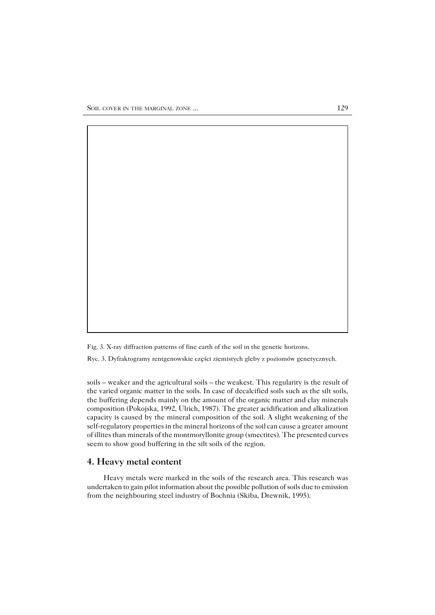Fig. 3. X−ray diffraction patterns of fine earth of the soil in the genetic horizons.

Ryc. 3. Dyfraktogramy rentgenowskie części ziemistych gleby z poziomów genetycznych.

soils – weaker and the agricultural soils – the weakest. This regularity is the result of the varied organic matter in the soils. In case of decalcified soils such as the silt soils, the buffering depends mainly on the amount of the organic matter and clay minerals composition (Pokojska, 1992, Ulrich, 1987). The greater acidification and alkalization capacity is caused by the mineral composition of the soil. A slight weakening of the self−regulatory properties in the mineral horizons of the soil can cause a greater amount of illites than minerals of the montmoryllonite group (smectites). The presented curves seem to show good buffering in the silt soils of the region.

## **4. Heavy metal content**

Heavy metals were marked in the soils of the research area. This research was undertaken to gain pilot information about the possible pollution of soils due to emission from the neighbouring steel industry of Bochnia (Skiba, Drewnik, 1995).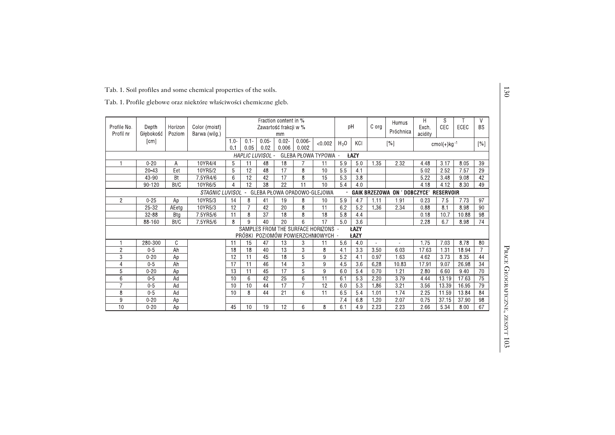|  |  |  |  | Tab. 1. Profile glebowe oraz niektóre właściwości chemiczne gleb. |  |
|--|--|--|--|-------------------------------------------------------------------|--|
|  |  |  |  |                                                                   |  |

| Profile No.<br>Profil nr | Depth<br>Głębokość    | Horizon<br>Poziom | Color (moist)<br>Barwa (wilg.) | Fraction content in %<br>Zawartość frakcji w %<br>mm                                                       |                       |                  |                 |                 | pH                                  |            | Humus<br>C org<br>Próchnica |                | H<br>Exch.<br>acidity                  | S<br>CEC     | ECEC         | V<br><b>BS</b>    |                 |
|--------------------------|-----------------------|-------------------|--------------------------------|------------------------------------------------------------------------------------------------------------|-----------------------|------------------|-----------------|-----------------|-------------------------------------|------------|-----------------------------|----------------|----------------------------------------|--------------|--------------|-------------------|-----------------|
|                          | [cm]                  |                   |                                | $0.05 -$<br>$0.02 -$<br>$0.006 -$<br>$0.1 -$<br>$10 -$<br>< 0.002<br>0.05<br>0.02<br>0.006<br>0.002<br>0.1 |                       |                  |                 |                 | H <sub>2</sub> 0                    | KCI        | [%]                         |                | $cmol(+)$ kg <sup>-1</sup>             |              |              | $\lceil\% \rceil$ |                 |
|                          |                       |                   |                                |                                                                                                            |                       | HAPLIC LUVISOL - |                 |                 | GLEBA PŁOWA TYPOWA -                |            | <b>ŁAZY</b>                 |                |                                        |              |              |                   |                 |
|                          | $0 - 20$<br>$20 - 43$ | Α<br>Eet          | 10YR4/4<br>10YR5/2             | 5<br>5                                                                                                     | 11<br>$\overline{12}$ | 48<br>48         | 18<br>17        | 8               | 11<br>10                            | 5.9<br>5.5 | 5.0<br>4.1                  | 1.35           | 2 3 2                                  | 4.48<br>5.02 | 3.17<br>2,52 | 8.05<br>7.57      | 39<br>29        |
|                          | 43-90                 | Bt                | 7.5YR4/6                       | 6                                                                                                          | $\overline{12}$       | 42               | 17              | 8               | 15                                  | 5.3        | 3.8                         |                |                                        | 5.22         | 3.48         | 9.08              | 42              |
|                          | 90-120                | Bt/C              | 10YR6/5                        | 4                                                                                                          | $\overline{12}$       | $\overline{38}$  | $\overline{22}$ | $\overline{11}$ | 10                                  | 5.4        | 4.0                         |                |                                        | 4.18         | 4.12         | 8.30              | 49              |
|                          |                       |                   | STAGNIC LUVISOL                |                                                                                                            |                       |                  |                 |                 | GLEBA PŁOWA OPADOWO-GLEJOWA         |            |                             |                | GAIK BRZEZOWA ON ' DOBCZYCE' RESERVOIR |              |              |                   |                 |
| $\overline{2}$           | $0 - 25$              | Ap                | 10YR5/3                        | 14                                                                                                         | 8                     | 41               | 19              | 8               | 10                                  | 5.9        | 4.7                         | 1.11           | 1.91                                   | 0.23         | 75           | 7.73              | 97              |
|                          | $25 - 32$             | AEeta             | 10YR5/3                        | 12                                                                                                         |                       | 42               | 20              | 8               | 11                                  | 6.2        | 5.2                         | 1.36           | 2 3 4                                  | 0.88         | 8.1          | 8.98              | 90              |
|                          | 32-88                 | Btg               | 7.5YR5/6                       | 11                                                                                                         | 8                     | 37               | 18              | 8               | 18                                  | 5.8        | 4.4                         |                |                                        | 0.18         | 10.7         | 10.88             | 98              |
|                          | 88-160                | Bt/C              | 7.5YR5/6                       | 8                                                                                                          | $\mathbf{Q}$          | 40               | 20              | 6               | $\overline{17}$                     | 5.0        | 36                          |                |                                        | 2.28         | 6.7          | 8.98              | 74              |
|                          |                       |                   |                                |                                                                                                            |                       |                  |                 |                 | SAMPLES FROM THE SURFACE HORIZONS - |            | ŁAZY                        |                |                                        |              |              |                   |                 |
|                          | 280-300               | C                 |                                | 11                                                                                                         | 15                    | 47               | 13              |                 | PRÓBKI POZIOMÓW POWIERZCHNIOWYCH -  | 5.6        | <b>ŁAZY</b>                 | $\blacksquare$ | $\blacksquare$                         | 1.75         | 7.03         | 8.78              | 80              |
| $\overline{c}$           | $0 - 5$               | Ah                |                                | 18                                                                                                         | 18                    | 40               | 13              | 3<br>3          | 11<br>8                             | 4,1        | 4.0<br>3.3                  | 3.50           | 6.03                                   | 17.63        | 1.31         | 18.94             | $\overline{7}$  |
| 3                        | $0 - 20$              | Ap                |                                | 12                                                                                                         | 11                    | 45               | 18              | 5               | 9                                   | 5.2        | 4.1                         | 0.97           | 1.63                                   | 4.62         | 3.73         | 8.35              | 44              |
| $\overline{4}$           | $0-5$                 | Ah                |                                | 17                                                                                                         | 11                    | 46               | 14              | 3               | $\overline{9}$                      | 45         | 3.6                         | 6,28           | 10.83                                  | 17.91        | 9.07         | 26.98             | $\overline{34}$ |
| 5                        | $0 - 20$              | Ap                |                                | 13                                                                                                         | 11                    | 45               | 17              | 5               | $\overline{9}$                      | 6.0        | 5.4                         | 0.70           | 1.21                                   | 2.80         | 6.60         | 9.40              | 70              |
| 6                        | $0-5$                 | Ad                |                                | 10                                                                                                         | $6\phantom{1}6$       | 42               | $\overline{25}$ | 6               | $\overline{11}$                     | 6,1        | 5.3                         | 2.20           | 3.79                                   | 4.44         | 13.19        | 17.63             | $\overline{75}$ |
| $\overline{7}$           | $0 - 5$               | Ad                |                                | 10                                                                                                         | 10                    | 44               | $\overline{17}$ | $\overline{7}$  | $\overline{12}$                     | 6.0        | 5.3                         | 1.86           | 3.21                                   | 3.56         | 13.39        | 16.95             | 79              |
| 8                        | $0-5$                 | Ad                |                                | 10                                                                                                         | 8                     | 44               | 21              | 6               | 11                                  | 65         | 5.4                         | 1.01           | 1.74                                   | 2 2 5        | 11 59        | 13.84             | 84              |
| 9                        | $0 - 20$              | Ap                |                                |                                                                                                            |                       |                  |                 |                 |                                     | 7.4        | 6.8                         | 1.20           | 2.07                                   | 0.75         | 37.15        | 37.90             | 98              |
| 10                       | $0 - 20$              | Ap                |                                | 45                                                                                                         | 10                    | 19               | 12              | 6               | 8                                   | 6.1        | 4.9                         | 2.23           | 2 2 3                                  | 266          | 5.34         | 8.00              | 67              |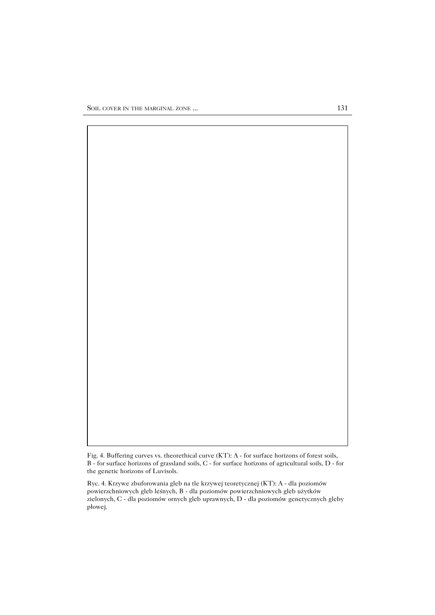

Ryc. 4. Krzywe zbuforowania gleb na tle krzywej teoretycznej (KT): A − dla poziomów powierzchniowych gleb leśnych, B − dla poziomów powierzchniowych gleb użytków zielonych, C − dla poziomów ornych gleb uprawnych, D − dla poziomów genetycznych gleby płowej.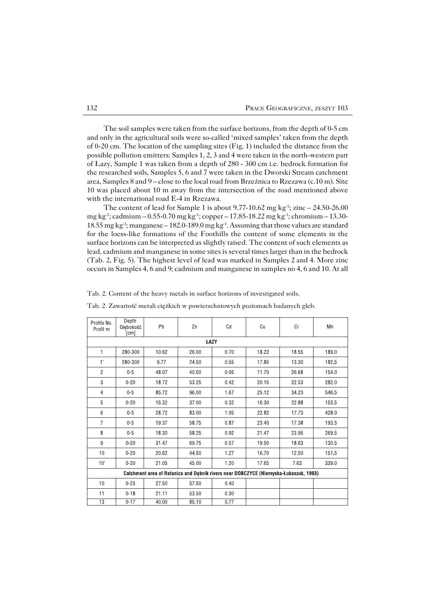The soil samples were taken from the surface horizons, from the depth of 0−5 cm and only in the agricultural soils were so−called 'mixed samples' taken from the depth of 0−20 cm. The location of the sampling sites (Fig. 1) included the distance from the possible pollution emitters: Samples 1, 2, 3 and 4 were taken in the north−western part of Łazy, Sample 1 was taken from a depth of 280 − 300 cm i.e. bedrock formation for the researched soils, Samples 5, 6 and 7 were taken in the Dworski Stream catchment area, Samples 8 and 9 – close to the local road from Brzeźnica to Rzezawa (c.10 m). Site 10 was placed about 10 m away from the intersection of the road mentioned above with the international road E−4 in Rzezawa.

The content of lead for Sample 1 is about 9.77-10.62 mg kg<sup>-1</sup>; zinc – 24.50-26.00 mg kg−1; cadmium – 0.55−0.70 mg kg−1; copper – 17.85−18.22 mg kg−1; chromium – 13.30− 18.55 mg kg−1; manganese – 182.0−189.0 mg kg−1. Assuming that those values are standard for the loess−like formations of the Foothills the content of some elements in the surface horizons can be interpreted as slightly raised. The content of such elements as lead, cadmium and manganese in some sites is several times larger than in the bedrock (Tab. 2, Fig. 5). The highest level of lead was marked in Samples 2 and 4. More zinc occurs in Samples 4, 6 and 9; cadmium and manganese in samples no 4, 6 and 10. At all

| Profile No.<br>Profil nr                                                             | Depth<br>Głebokość<br>[cm] | Pb    | Zn    | Cd   | Cu    | Сr    | Mn    |  |  |  |  |  |  |
|--------------------------------------------------------------------------------------|----------------------------|-------|-------|------|-------|-------|-------|--|--|--|--|--|--|
| ŁAZY                                                                                 |                            |       |       |      |       |       |       |  |  |  |  |  |  |
| 1                                                                                    | 280-300                    | 10.62 | 26.00 | 0.70 | 18.22 | 18.55 | 189.0 |  |  |  |  |  |  |
| 1'                                                                                   | 280-300                    | 9.77  | 24.50 | 0.55 | 17.85 | 13.30 | 182.5 |  |  |  |  |  |  |
| $\overline{2}$                                                                       | $0-5$                      | 48.07 | 40.50 | 0.05 | 11.70 | 26.68 | 154.0 |  |  |  |  |  |  |
| 3                                                                                    | $0 - 20$                   | 18.72 | 53.25 | 0.42 | 20.15 | 22.53 | 282.0 |  |  |  |  |  |  |
| 4                                                                                    | $0-5$                      | 85.72 | 96.00 | 1.67 | 25.12 | 34.23 | 546.5 |  |  |  |  |  |  |
| 5                                                                                    | $0 - 20$                   | 15.32 | 37.00 | 0.32 | 16.30 | 22.88 | 153.5 |  |  |  |  |  |  |
| 6                                                                                    | $0-5$                      | 28.72 | 83.00 | 1.05 | 22.82 | 17.73 | 428.0 |  |  |  |  |  |  |
| $\overline{7}$                                                                       | $0-5$                      | 19.37 | 58.75 | 0.87 | 23.40 | 17.38 | 193.5 |  |  |  |  |  |  |
| 8                                                                                    | $0-5$                      | 18.30 | 58.25 | 0.92 | 21.47 | 23.95 | 269.5 |  |  |  |  |  |  |
| 9                                                                                    | $0 - 20$                   | 31.47 | 69.75 | 0.57 | 19.50 | 18.63 | 130.5 |  |  |  |  |  |  |
| 10                                                                                   | $0 - 20$                   | 20.62 | 44 50 | 1.27 | 16.70 | 12.50 | 151.5 |  |  |  |  |  |  |
| 10'                                                                                  | $0 - 20$                   | 21.05 | 45.00 | 1.20 | 17.65 | 7.63  | 339.0 |  |  |  |  |  |  |
| Catchment area of Ratanica and Debnik rivers near DOBCZYCE (Niemyska-Łukaszuk, 1993) |                            |       |       |      |       |       |       |  |  |  |  |  |  |
| 10                                                                                   | $0 - 23$                   | 27.50 | 57.50 | 0.40 |       |       |       |  |  |  |  |  |  |
| 11                                                                                   | $0 - 18$                   | 21.11 | 53.50 | 0.30 |       |       |       |  |  |  |  |  |  |
| 13                                                                                   | $0 - 17$                   | 40.00 | 85.10 | 0.77 |       |       |       |  |  |  |  |  |  |

Tab. 2. Zawartość metali ciężkich w powierzchniowych poziomach badanych gleb.

Tab. 2. Content of the heavy metals in surface horizons of investigated soils.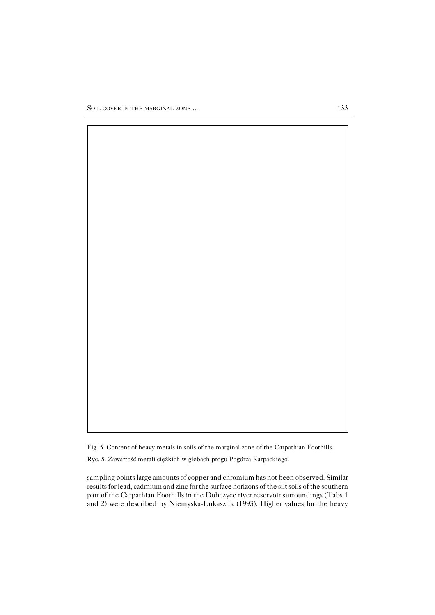

Ryc. 5. Zawartość metali ciężkich w glebach progu Pogórza Karpackiego.

sampling points large amounts of copper and chromium has not been observed. Similar results for lead, cadmium and zinc for the surface horizons of the silt soils of the southern part of the Carpathian Foothills in the Dobczyce river reservoir surroundings (Tabs 1 and 2) were described by Niemyska−Łukaszuk (1993). Higher values for the heavy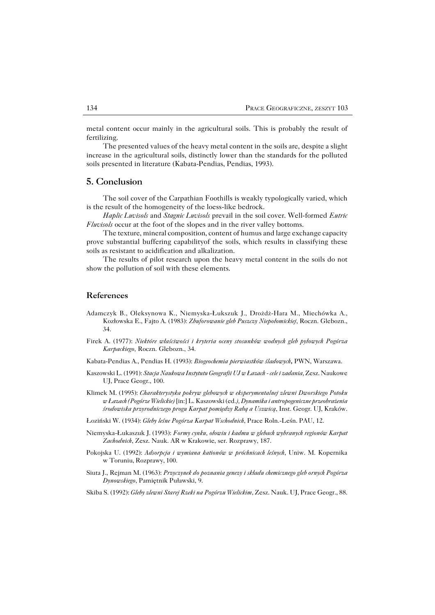metal content occur mainly in the agricultural soils. This is probably the result of fertilizing.

The presented values of the heavy metal content in the soils are, despite a slight increase in the agricultural soils, distinctly lower than the standards for the polluted soils presented in literature (Kabata−Pendias, Pendias, 1993).

#### **5. Conclusion**

The soil cover of the Carpathian Foothills is weakly typologically varied, which is the result of the homogeneity of the loess−like bedrock.

*Haplic Luvisols* and *Stagnic Luvisols* prevail in the soil cover. Well−formed *Eutric Fluvisols* occur at the foot of the slopes and in the river valley bottoms.

The texture, mineral composition, content of humus and large exchange capacity prove substantial buffering capabilityof the soils, which results in classifying these soils as resistant to acidification and alkalization.

The results of pilot research upon the heavy metal content in the soils do not show the pollution of soil with these elements.

### **References**

- Adamczyk B., Oleksynowa K., Niemyska−Łukszuk J., Drożdż−Hara M., Miechówka A., Kozłowska E., Fajto A. (1983): *Zbuforowanie gleb Puszczy Niepołomickiej*, Roczn. Glebozn., 34.
- Firek A. (1977): *Niektóre właściwości i kryteria oceny stosunków wodnych gleb pyłowych Pogórza Karpackiego,* Roczn. Glebozn., 34.
- Kabata−Pendias A., Pendias H. (1993): *Biogeochemia pierwiastków śladowych***,** PWN, Warszawa.
- Kaszowski L. (1991): *Stacja Naukowa Instytutu Geografii UJ w Łazach − cele i zadania*, Zesz. Naukowe UJ, Prace Geogr., 100.
- Klimek M. (1995): *Charakterystyka pokryw glebowych w eksperymentalnej zlewni Dworskiego Potoku w Łazach (Pogórze Wielickie)* [in:] L. Kaszowski (ed*.), Dynamika i antropogeniczne przeobrażenia środowiska przyrodniczego progu Karpat pomiędzy Rabą a Uszwicą*, Inst. Geogr. UJ, Kraków.
- Łoziński W. (1934): *Gleby leśne Pogórza Karpat Wschodnich*, Prace Roln.−Leśn. PAU, 12.
- Niemyska−Łukaszuk J. (1993): *Formy cynku, ołowiu i kadmu w glebach wybranych regionów Karpat Zachodnich*, Zesz. Nauk. AR w Krakowie, ser. Rozprawy, 187.
- Pokojska U. (1992): *Adsorpcja i wymiana kationów w próchnicach leśnych*, Uniw. M. Kopernika wToruniu, Rozprawy, 100.
- Siuta J., Rejman M. (1963): *Przyczynek do poznania genezy i składu chemicznego gleb ornych Pogórza Dynowskiego*, Pamiętnik Puławski, 9.
- Skiba S. (1992): *Gleby zlewni Starej Rzeki na Pogórzu Wielickim*, Zesz. Nauk. UJ, Prace Geogr., 88.